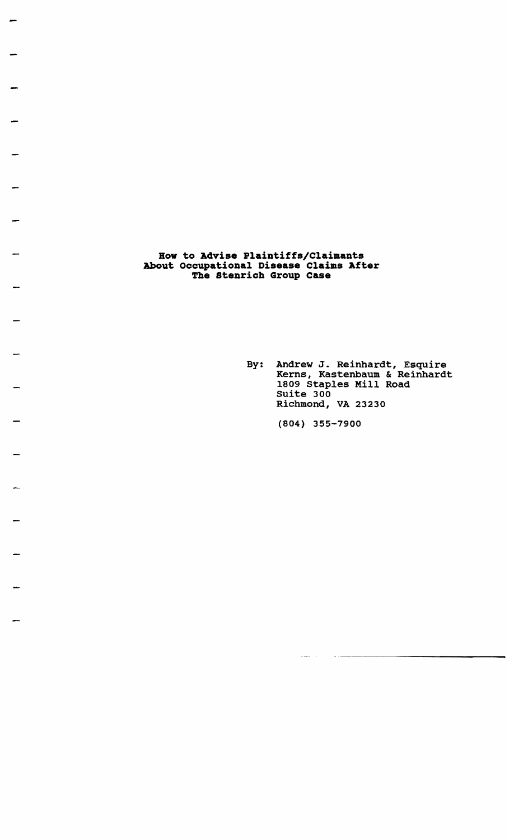**Bow to Advise Plaintiffs/Claimants About occupational Disease Claims After The stenrich Group Case** 

> By: Andrew J. Reinhardt, Esquire Kerns, Kastenbaum & Reinhardt 1809 Staples Mill Road Suite 300 Richmond, VA 23230

> > ... - .. ~-.-.-.----------

(804) 355-7900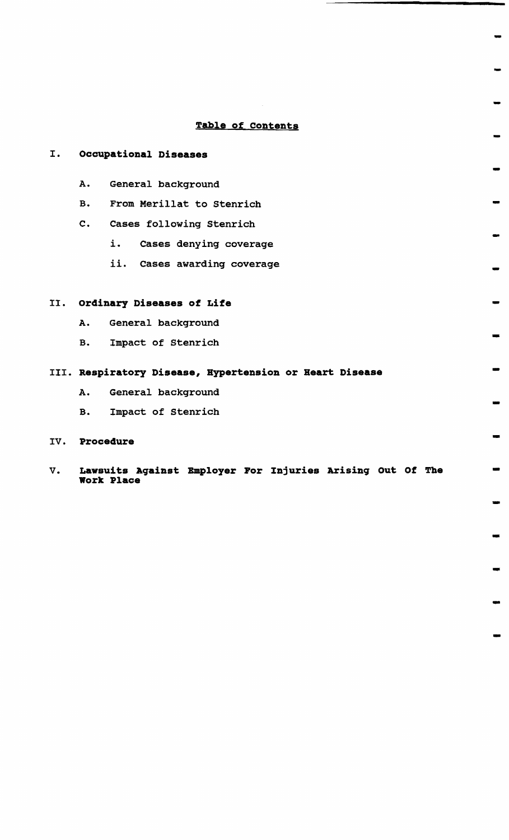# **Table of Contents**

-

-

-

-

-

-

-

-

-

-

-

-

-

-

-

-

-

-

-

# I. **Occupational Diseases**

- A. General background
- B. From Merillat to Stenrich
- C. Cases following stenrich
	- i. Cases denying coverage
	- *ii.* Cases awarding coverage

### II. **ordinary Diseases of Life**

- A. General background
- B. Impact of Stenrich

# III. **Respiratory Disease, Hypertension or Heart Disease**

- A. General background
- B. Impact of Stenrich

# IV. **Procedure**

V. Lawsuits Against Employer For Injuries Arising Out Of The **work Place**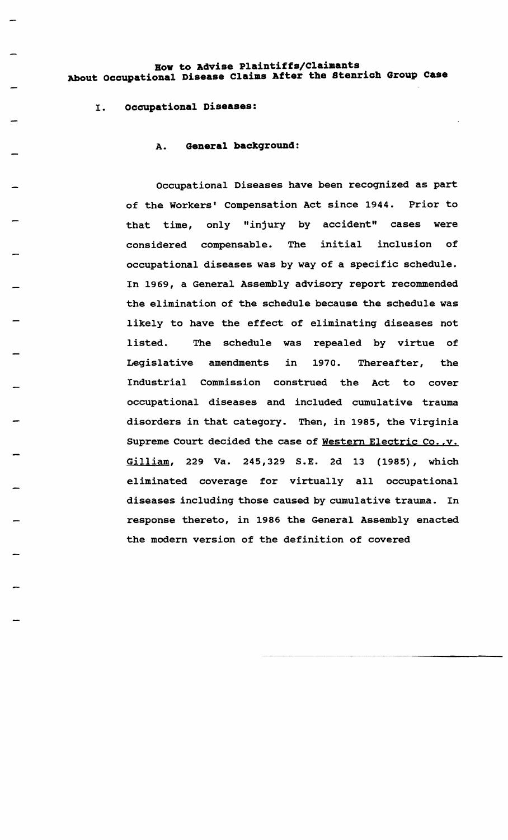# **Bow to Advise Plaintiffs/Claimants About occupational Disease Claims After the stenrich Group Case**

#### I. **occupational Diseases:**

#### A. **General background:**

Occupational Diseases have been recognized as part of the Workers' compensation Act since 1944. Prior to that time, only "injury by accident" cases were considered compensable. The initial inclusion of occupational diseases was by way of a specific schedule. In 1969, a General Assembly advisory report recommended the elimination of the schedule because the schedule was likely to have the effect of eliminating diseases not listed. The schedule was repealed by virtue of Legislative amendments in 1970. Thereafter, the Industrial Commission construed the Act to cover occupational diseases and included cumulative trauma disorders in that category. Then, in 1985, the Virginia Supreme Court decided the case of Western Electric Co., v. Gilliam, 229 Va. 245,329 S.E. 2d 13 (1985), which eliminated coverage for virtually all occupational diseases including those caused by cumulative trauma. In response thereto, in 1986 the General Assembly enacted the modern version of the definition of covered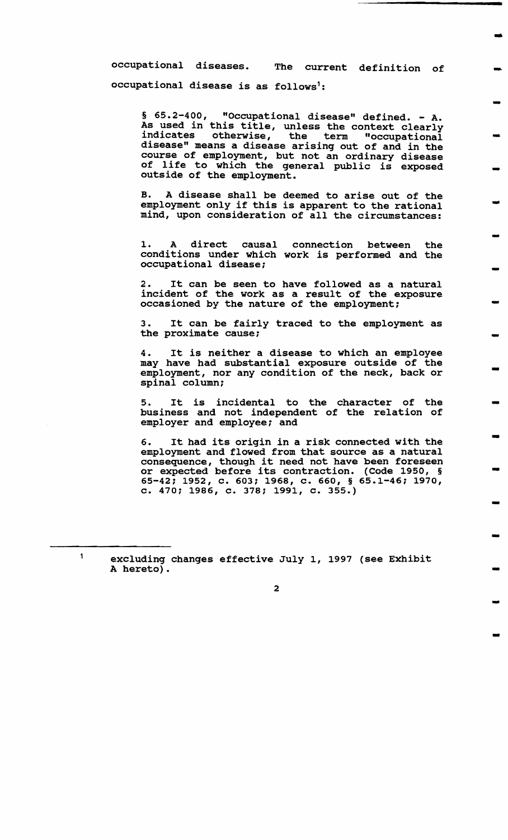occupational diseases. The current definition of occupational disease is as follows':

 $§ 65.2-400$ , "Occupational disease" defined. - A. As used in this title, unless the context clearly indicates otherwise, the term "occupational disease" means a disease arising out of and in the course of employment, but not an ordinary disease of life to which the general public is exposed outside of the employment.

-

-

-

-

-

-

-

-

-

-

-

-

-

-

-

-

-

-

B. A disease shall be deemed to arise out of the employment only if this is apparent to the rational mind, upon consideration of all the circumstances:

1. A direct causal connection between the conditions under which work is performed and the occupational disease;

2. It can be seen to have followed as a natural incident of the work as a result of the exposure occasioned by the nature of the employment;

3. It can be fairly traced to the employment as the proximate cause;

4. It is neither a disease to which an employee may have had substantial exposure outside of the employment, nor any condition of the neck, back or spinal column:

It is incidental to the character of the business and not independent of the relation of employer and employee; and

6. It had its origin in a risk connected with the employment and flowed from that source as a natural employment and flowed from that source as a natural<br>consequence, though it need not have been foreseen or expected before its contraction. (Code 1950, § 65-42; 1952, c. 603; 1968, c. 660, § 65.1-46; 1970, c. 470; 1986, c. 378; 1991, c. 355.)

excluding changes effective July 1, 1997 (see Exhibit A hereto).

 $\mathbf{1}$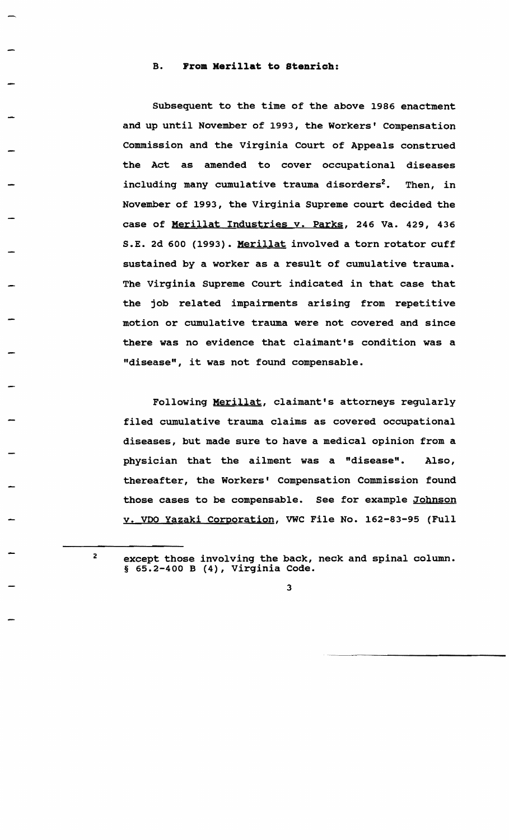## B. **From Kerillat to stenrich:**

Subsequent to the time of the above 1986 enactment and up until November of 1993, the Workers' compensation Commission and the Virginia Court of Appeals construed the Act as amended to cover occupational diseases including many cumulative trauma disorders<sup>2</sup>. Then, in November of 1993, the Virginia Supreme court decided the case of Merillat Industries v. Parks, 246 Va. 429, 436 S.E. 2d 600 (1993). Merillat involved a torn rotator cuff sustained by a worker as a result of cumulative trauma. The Virginia Supreme court indicated in that case that the job related impairments arising from repetitive motion or cumulative trauma were not covered and since there was no evidence that claimant's condition was a "disease", it was not found compensable.

Following Merillat, claimant's attorneys regularly filed cumulative trauma claims as covered occupational diseases, but made sure to have a medical opinion from a physician that the ailment was a "disease". Also, thereafter, the Workers' Compensation Commission found those cases to be compensable. See for example Johnson v. VDO Yazaki corporation, VWC File No. 162-83-95 (Full

2

except those involving the back, neck and spinal column. § 65.2-400 B (4), Virginia Code.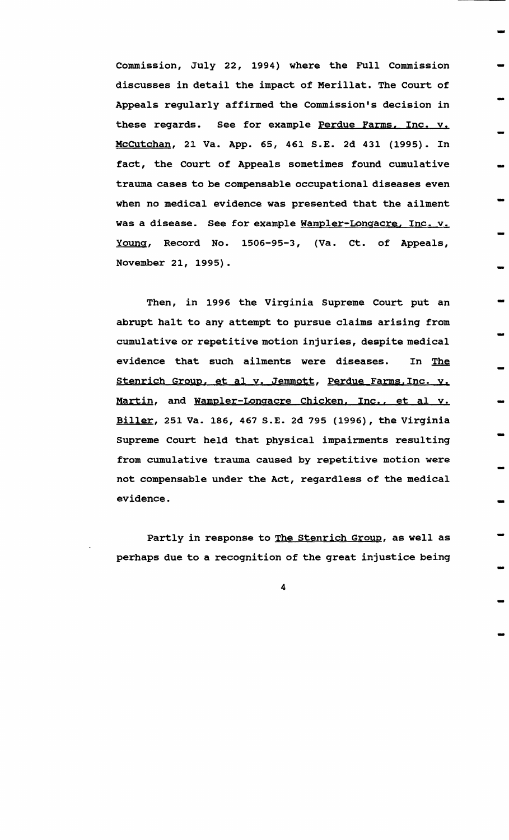Commission, July 22, 1994) where the Full Commission discusses in detail the impact of Merillat. The Court of Appeals regularly affirmed the Commission's decision in these regards. See for example Perdue Farms, Inc. v. Mccutchan, 21 Va. App. 65, 461 S.E. 2d 431 (1995). In fact, the Court of Appeals sometimes found cumulative trauma cases to be compensable occupational diseases even when no medical evidence was presented that the ailment was a disease. See for example Wampler-Longacre, Inc. v. Young, Record No. 1506-95-3, (Va. ct. of Appeals, November 21, 1995).

-

-

-

-

-

-

-

-

-

-

-

-

-

-

-

-

-

-

-

Then, in 1996 the Virginia Supreme Court put an abrupt halt to any attempt to pursue claims arising from cumulative or repetitive motion injuries, despite medical evidence that such ailments were diseases. In The stenrich Group, et al v. Jemmott, Perdue Farms,Inc. v. Martin, and Wampler-Longacre Chicken, Inc., et al v. Biller, 251 Va. 186,467 S.E. 2d 795 (1996), the Virginia Supreme court held that physical impairments resulting from cumulative trauma caused by repetitive motion were not compensable under the Act, regardless of the medical evidence.

Partly in response to The Stenrich Group, as well as perhaps due to a recognition of the great injustice being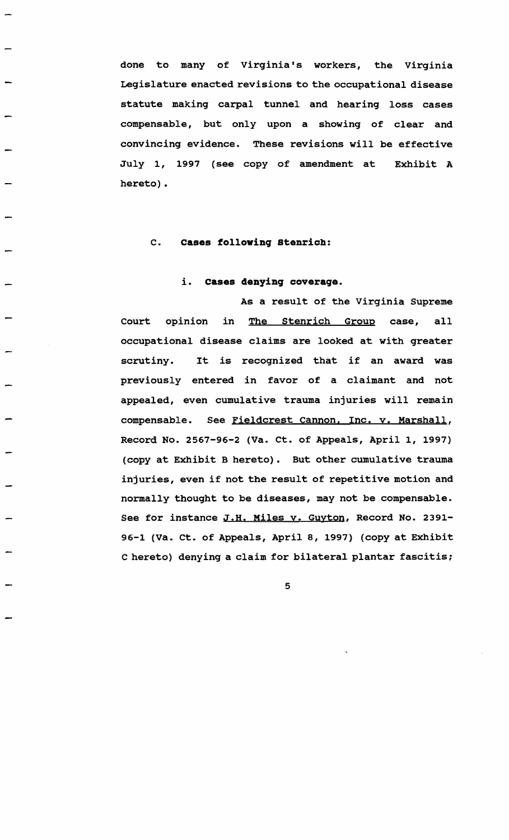done to many of virginia's workers, the Virginia Legislature enacted revisions to the occupational disease statute making carpal tunnel and hearing loss cases compensable, but only upon a showing of clear and convincing evidence. These revisions will be effective July 1, 1997 (see copy of amendment at Exhibit A hereto).

# c. **Cases following stenrich:**

#### i. **Cases denying coverage.**

As a result of the Virginia Supreme Court opinion in The stenrich Group case, all occupational disease claims are looked at with greater scrutiny. It is recognized that if an award was previously entered in favor of a claimant and not appealed, even cumulative trauma injuries will remain compensable. See Fieldcrest Cannon, Inc. y. Marshall, Record No. 2567-96-2 (Va. ct. of Appeals, April 1, 1997) (copy at Exhibit B hereto). But other cumulative trauma injuries, even if not the result of repetitive motion and normally thought to be diseases, may not be compensable. See for instance J.H. Miles v. Guyton, Record No. 2391-96-1 (Va. ct. of Appeals, April 8, 1997) (copy at Exhibit C hereto) denying a claim for bilateral plantar fascitis;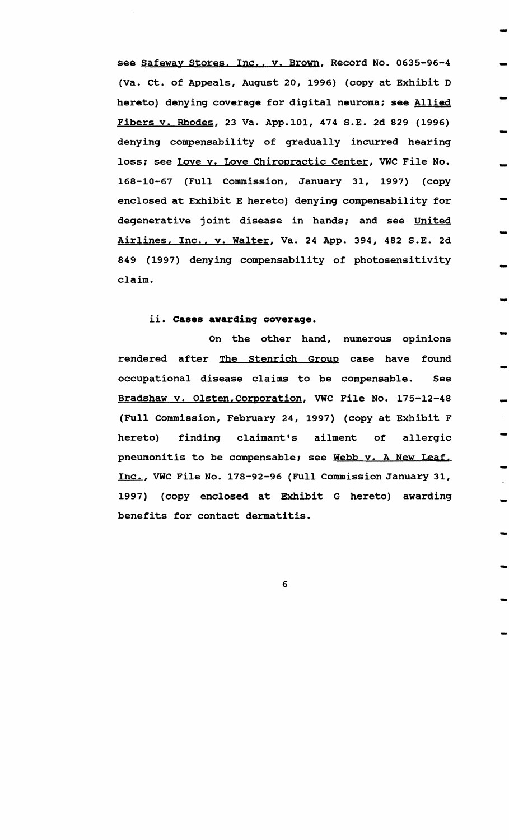see Safeway Stores, Inc., v. Brown, Record No. 0635-96-4 (va. ct. of Appeals, August 20, 1996) (copy at Exhibit D hereto) denying coverage for digital neuroma; see Allied Fibers v. Rhodes, 23 Va. App.101, 474 S.E. 2d 829 (1996) denying compensability of gradually incurred hearing loss; see Love v. Love Chiropractic Center, VWC File No. 168-10-67 (Full commission, January 31, 1997) (copy enclosed at Exhibit E hereto) denying compensability for degenerative joint disease in hands; and see United Airlines, Inc., v. Walter, Va. 24 App. 394, 482 S.E. 2d 849 (1997) denying compensability of photosensitivity claim.

-

-

-

-

-

-

-

-

-

-

-

-

-<br>-<br>-

-

-<br>-<br>-

-

-

-

-

# ii. C<mark>ases awarding coverage.</mark>

rendered after <u>The Stenrich Group</u> case have found On the other hand, numerous opinions occupational disease claims to be compensable. See Bradshaw v. Olsten,Corporation, VWC File No. 175-12-48 (FUll Commission, February 24, 1997) (copy at Exhibit F hereto) finding claimant's ailment of allergic pneumonitis to be compensable; see Webb v. A New Leaf. Inc., VWC File No. 178-92-96 (Full Commission January 31, 1997) (copy enclosed at Exhibit G hereto) awarding benefits for contact dermatitis.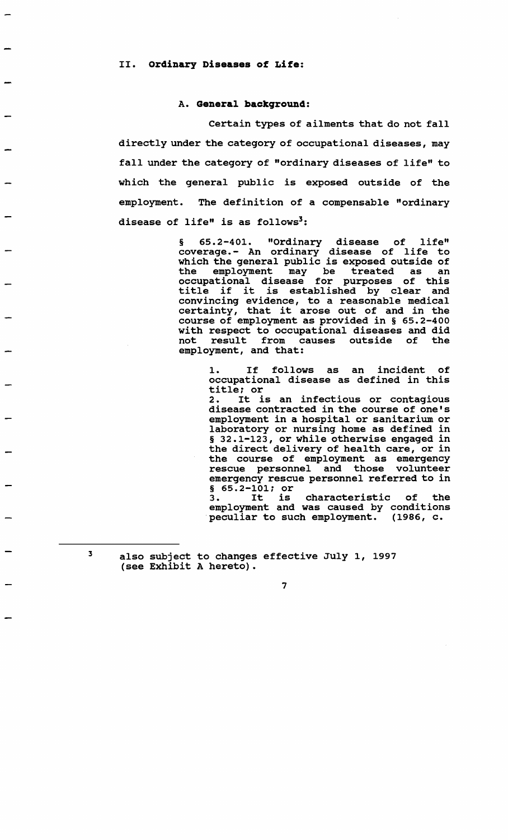#### A. **General backqround:**

certain types of ailments that do not fall directly under the category of occupational diseases, may fall under the category of "ordinary diseases of life" to which the general public is exposed outside of the employment. The definition of a compensable "ordinary disease of life" is as follows<sup>3</sup>:

> § 65.2-401. "Ordinary disease of life" coverage. - An ordinary disease of life to which the general public is exposed outside of the employment may be treated as an occupational disease for purposes of this occupational disease for purposes of this<br>title if it is established by clear and convincing evidence, to a reasonable medical certainty, that it arose out of and in the course of employment as provided in § 65.2-400 with respect to occupational diseases and did not result from causes outside of the employment, and that:

> > 1. If follows as an incident of occupational disease as defined in this title; or

> > 2. It is an infectious or contagious disease contracted in the course of one's employment in a hospital or sanitarium or laboratory or nursing home as defined in § 32.1-123, or while otherwise engaged in the direct delivery of health care, or in the course of employment as emergency rescue personnel and those volunteer emergency rescue personnel referred to in § 65.2-101; or 3. It is characteristic of the

> > employment and was caused by conditions peculiar to such employment. (1986, c.

3

also subject to changes effective July 1, 1997 (see Exhibit A hereto).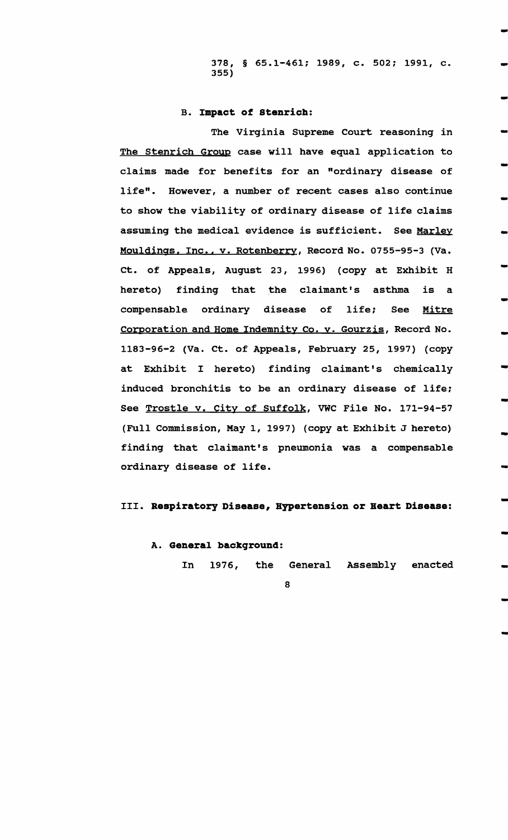378, § 65.1-461; 1989, c. 502; 1991, c. 355)

-<br>-

-

-<br>-

-

-

-

-

-

-

-

-

-

-

-

-

-

-

-

-

#### B. **Impact of Stenrich:**

The Virginia Supreme court reasoning in The Stenrich Group case will have equal application to claims made for benefits for an "ordinary disease of life". However, a number of recent cases also continue to show the viability of ordinary disease of life claims assuming the medical evidence is sufficient. See Marley Mouldings. Inc., v. Rotenberry, Record No. 0755-95-3 (Va. ct. of Appeals, August 23, 1996) (copy at Exhibit H hereto) finding that the claimant's asthma is a compensable ordinary disease of life; See Mitre Corporation and Home Indemnity Co. y. Gourzis, Record No. 1183-96-2 (Va. ct. of Appeals, February 25, 1997) (copy at Exhibit I hereto) finding claimant's chemically induced bronchitis to be an ordinary disease of life: See Trostle v. City of Suffolk, VWC File No. 171-94-57 (Full Commission, May 1, 1997) (copy at Exhibit J hereto) finding that claimant's pneumonia was a compensable ordinary disease of life.

## III. **Respiratory Disease, Hypertension or Heart Disease:**

#### A. **General background:**

In 1976, the General Assembly enacted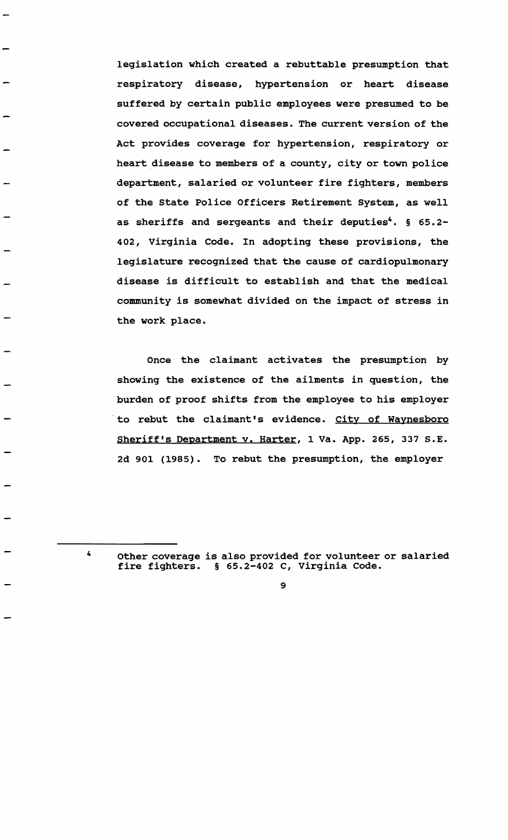legislation which created a rebuttable presumption that respiratory disease, hypertension or heart disease suffered by certain public employees were presumed to be covered occupational diseases. The current version of the Act provides coverage for hypertension, respiratory or heart disease to members of a county, city or town police department, salaried or volunteer fire fighters, members of the state Police Officers Retirement System, as well as sheriffs and sergeants and their deputies'. § 65.2- 402, Virginia Code. In adopting these provisions, the legislature recognized that the cause of cardiopulmonary disease is difficult to establish and that the medical community is somewhat divided on the impact of stress in the work place.

Once the claimant activates the presumption by showing the existence of the ailments in question, the burden of proof shifts from the employee to his employer to rebut the claimant's evidence. City of Waynesboro Sheriff's Department v. Harter, 1 Va. App. 265, 337 S.E. 2d 901 (1985). To rebut the presumption, the employer

 $\boldsymbol{I}$ 

Other coverage is also provided for volunteer or salaried fire fighters. § 65.2-402 C, virginia Code.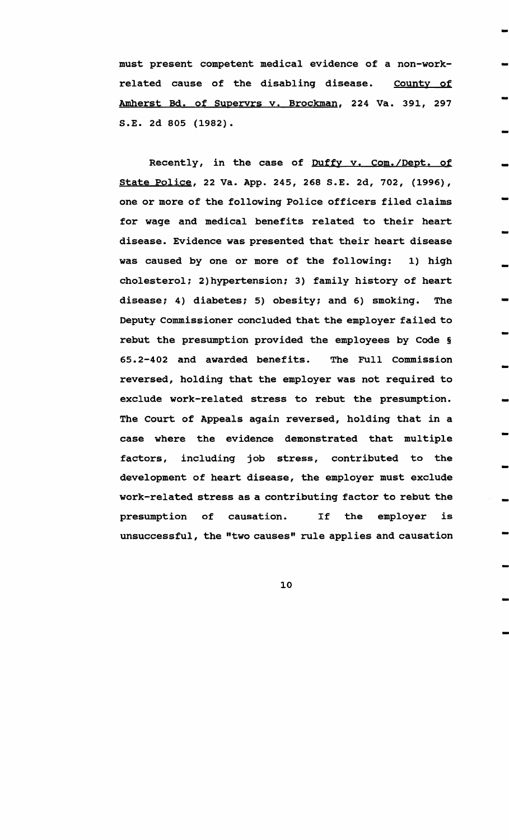must present competent medical evidence of a non-workrelated cause of the disabling disease. County of Amherst Bd. of Supervrs v. Brockman, 224 Va. 391, 297 S.E. 2d 805 (1982).

-

-

-

-

-

-

-

-

-

-

-

-

-

-

-

-

-

-

-

Recently, in the case of Duffy v. Com./Dept. of state police, 22 Va. App. 245, 268 S.E. 2d, 702, (1996), one or more of the following Police officers filed claims for wage and medical benefits related to their heart disease. Evidence was presented that their heart disease was caused by one or more of the following: 1) high cholesterol: 2) hypertension: 3) family history of heart disease; 4) diabetes; 5) obesity; and 6) smoking. The Deputy commissioner concluded that the employer failed to rebut the presumption provided the employees by Code § 65.2-402 and awarded benefits. The Full Commission reversed, holding that the employer was not required to exclude work-related stress to rebut the presumption. The court of Appeals again reversed, holding that in a case where the evidence demonstrated that multiple factors, including job stress, contributed to the development of heart disease, the employer must exclude work-related stress as a contributing factor to rebut the presumption of causation. If the employer is unsuccessful, the "two causes" rule applies and causation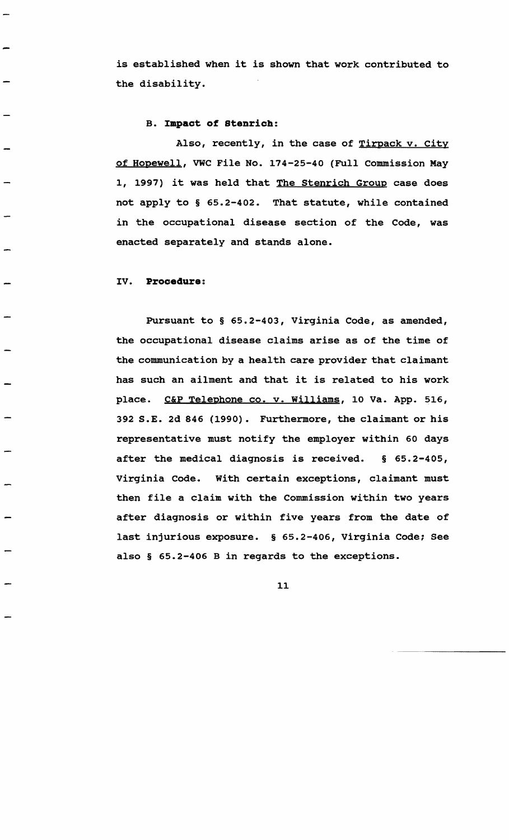is established when it is shown that work contributed to the disability.

#### B. Impact of Stenrich:

Also, recently, in the case of Tirpack v. City of Hopewell, VWC File No. 174-25-40 (Full Commission May 1, 1997) it was held that The Stenrich Group case does not apply to § 65.2-402. That statute, while contained in the occupational disease section of the Code, was enacted separately and stands alone.

#### IV. Procedure:

Pursuant to § 65.2-403, Virginia Code, as amended, the occupational disease claims arise as of the time of the communication by a health care provider that claimant has such an ailment and that it is related to his work place. C&P Telephone co. v. Williams, 10 Va. App. 516, 392 S.E. 2d 846 (1990). Furthermore, the claimant or his representative must notify the employer within 60 days after the medical diagnosis is received. § 65.2-405, Virginia Code. with certain exceptions, claimant must then file a claim with the Commission within two years after diagnosis or within five years from the date of last injurious exposure. § 65.2-406, Virginia Code; See also § 65.2-406 B in regards to the exceptions.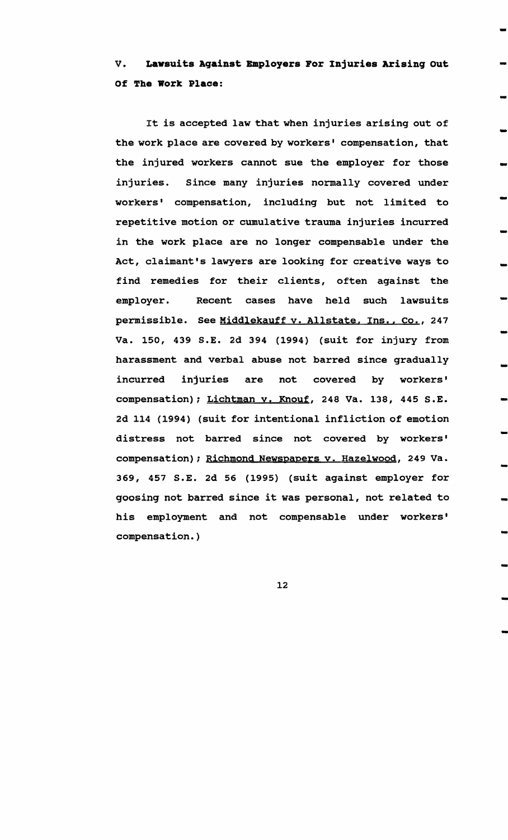V. Lawsuits Against Employers For Injuries Arising Out Of The Work Place:

-

-

-

-

-

-

-

-

-

-

-

-

-

-

-

-

-

-

-

It is accepted law that when injuries arising out of the work place are covered by workers' compensation, that the injured workers cannot sue the employer for those injuries. Since many injuries normally covered under workers' compensation, including but not limited to repetitive motion or cumulative trauma injuries incurred in the work place are no longer compensable under the Act, claimant's lawyers are looking for creative ways to find remedies for their clients, often against the employer. Recent cases have held such lawsuits permissible. See Middlekauff v. Allstate, Ins., Co., 247 Va. 150, 439 S.E. 2d 394 (1994) (suit for injury from harassment and verbal abuse not barred since gradually incurred injuries are not covered by workers' compensation); Lichtman y. Knouf, 248 Va. 138, 445 S.E. 2d 114 (1994) (suit for intentional infliction of emotion distress not barred since not covered by workers' compensation); Richmond Newspapers y. Hazelwood, 249 Va. 369, 457 S.E. 2d 56 (1995) (suit against employer for goosing not barred since it was personal, not related to his employment and not compensable under workers' compensation. )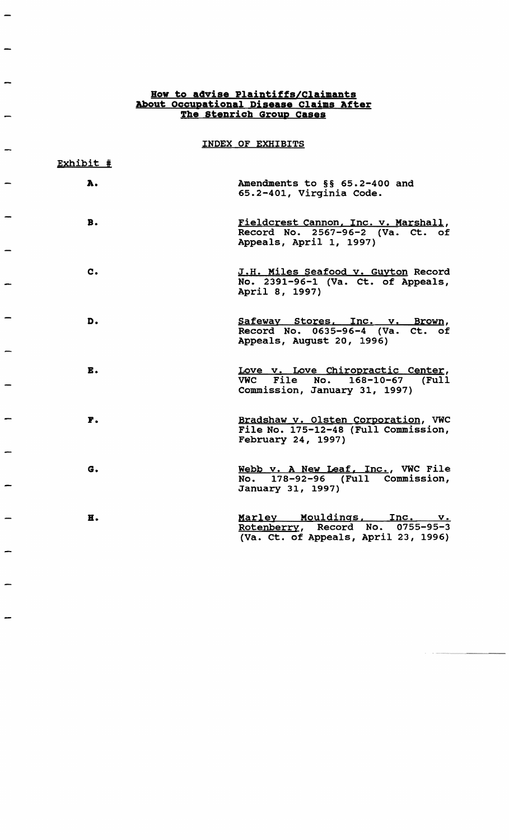# Bow to advise Plaintiffs/Claimants About Occupational Disease Claims After The Stenrich Group Cases

÷

 $\overline{\phantom{a}}$ 

 $\overline{\phantom{0}}$ 

 $\overline{\phantom{a}}$ 

 $\overline{a}$ 

 $\overline{\phantom{m}}$ 

 $\overline{\phantom{a}}$ 

 $\overline{\phantom{a}}$ 

 $\overline{\phantom{0}}$ 

 $\overline{\phantom{0}}$ 

INDEX OF EXHIBITS

| Exhibit #      |                                                                                                       |
|----------------|-------------------------------------------------------------------------------------------------------|
| A.             | Amendments to §§ 65.2-400 and<br>65.2-401, Virginia Code.                                             |
| В.             | Fieldcrest Cannon, Inc. v. Marshall,<br>Record No. 2567-96-2 (Va. Ct. of<br>Appeals, April 1, 1997)   |
| $\mathbf{c}$ . | J.H. Miles Seafood v. Guyton Record<br>No. 2391-96-1 (Va. Ct. of Appeals,<br>April 8, 1997)           |
| D.             | Safeway Stores, Inc. v. Brown,<br>Record No. 0635-96-4 (Va. Ct. of<br>Appeals, August 20, 1996)       |
| E.             | Love v. Love Chiropractic Center,<br>VWC File No. 168-10-67 (Full<br>Commission, January 31, 1997)    |
| F.             | Bradshaw v. Olsten Corporation, VWC<br>File No. 175-12-48 (Full Commission,<br>February 24, 1997)     |
| G.             | Webb v. A New Leaf, Inc., VWC File<br>No. 178-92-96 (Full Commission,<br>January 31, 1997)            |
| н.             | Marley Mouldings, Inc. v.<br>Rotenberry, Record No. 0755-95-3<br>(Va. Ct. of Appeals, April 23, 1996) |

~---~~~---